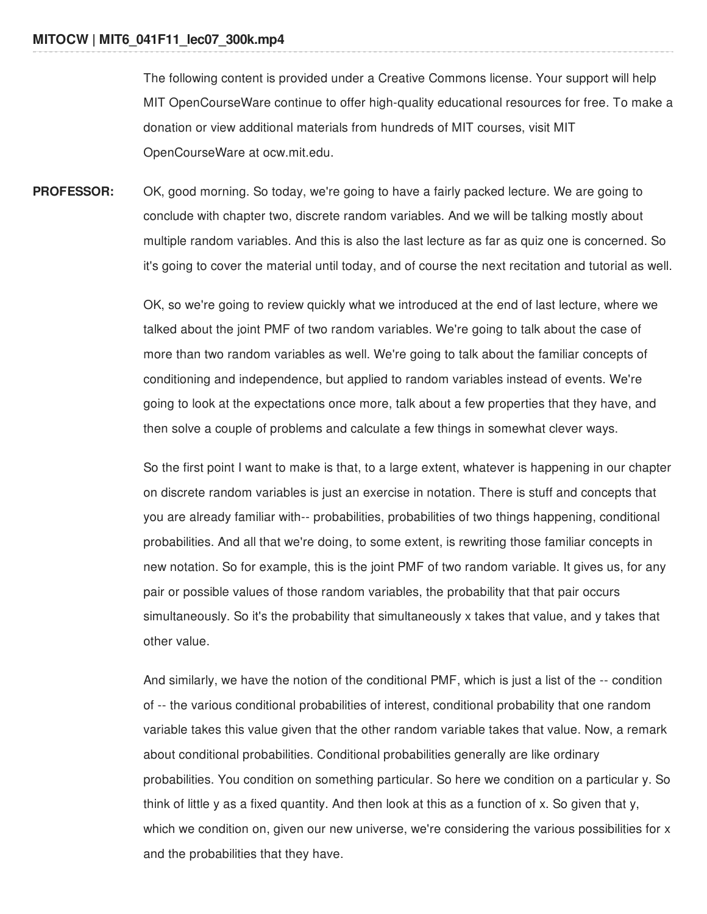The following content is provided under a Creative Commons license. Your support will help MIT OpenCourseWare continue to offer high-quality educational resources for free. To make a donation or view additional materials from hundreds of MIT courses, visit MIT OpenCourseWare at ocw.mit.edu.

**PROFESSOR:** OK, good morning. So today, we're going to have a fairly packed lecture. We are going to conclude with chapter two, discrete random variables. And we will be talking mostly about multiple random variables. And this is also the last lecture as far as quiz one is concerned. So it's going to cover the material until today, and of course the next recitation and tutorial as well.

> OK, so we're going to review quickly what we introduced at the end of last lecture, where we talked about the joint PMF of two random variables. We're going to talk about the case of more than two random variables as well. We're going to talk about the familiar concepts of conditioning and independence, but applied to random variables instead of events. We're going to look at the expectations once more, talk about a few properties that they have, and then solve a couple of problems and calculate a few things in somewhat clever ways.

So the first point I want to make is that, to a large extent, whatever is happening in our chapter on discrete random variables is just an exercise in notation. There is stuff and concepts that you are already familiar with-- probabilities, probabilities of two things happening, conditional probabilities. And all that we're doing, to some extent, is rewriting those familiar concepts in new notation. So for example, this is the joint PMF of two random variable. It gives us, for any pair or possible values of those random variables, the probability that that pair occurs simultaneously. So it's the probability that simultaneously x takes that value, and y takes that other value.

And similarly, we have the notion of the conditional PMF, which is just a list of the -- condition of -- the various conditional probabilities of interest, conditional probability that one random variable takes this value given that the other random variable takes that value. Now, a remark about conditional probabilities. Conditional probabilities generally are like ordinary probabilities. You condition on something particular. So here we condition on a particular y. So think of little y as a fixed quantity. And then look at this as a function of x. So given that y, which we condition on, given our new universe, we're considering the various possibilities for x and the probabilities that they have.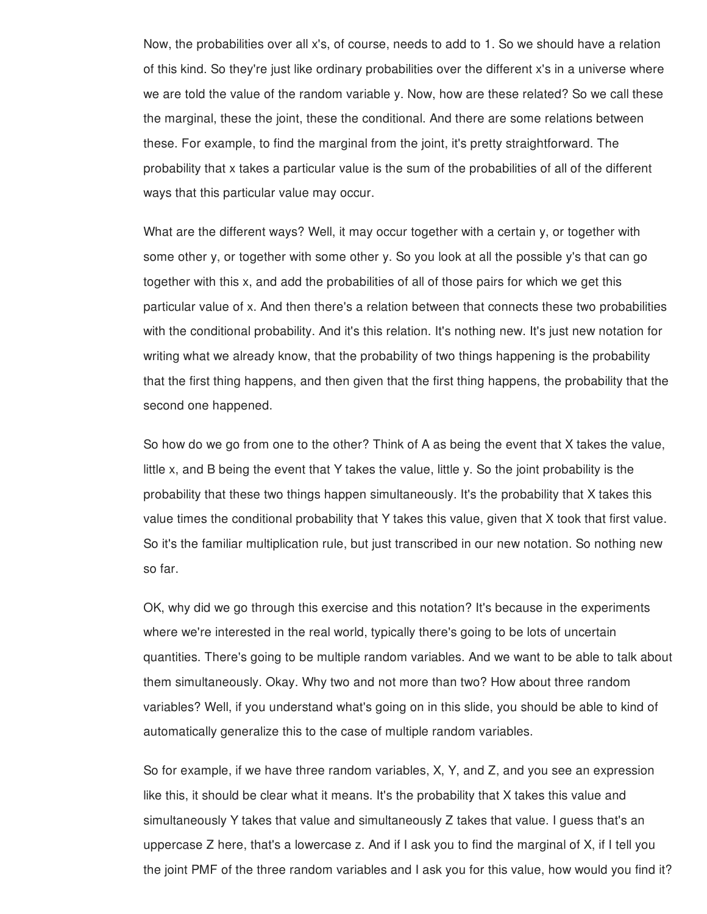Now, the probabilities over all x's, of course, needs to add to 1. So we should have a relation of this kind. So they're just like ordinary probabilities over the different x's in a universe where we are told the value of the random variable y. Now, how are these related? So we call these the marginal, these the joint, these the conditional. And there are some relations between these. For example, to find the marginal from the joint, it's pretty straightforward. The probability that x takes a particular value is the sum of the probabilities of all of the different ways that this particular value may occur.

What are the different ways? Well, it may occur together with a certain y, or together with some other y, or together with some other y. So you look at all the possible y's that can go together with this x, and add the probabilities of all of those pairs for which we get this particular value of x. And then there's a relation between that connects these two probabilities with the conditional probability. And it's this relation. It's nothing new. It's just new notation for writing what we already know, that the probability of two things happening is the probability that the first thing happens, and then given that the first thing happens, the probability that the second one happened.

So how do we go from one to the other? Think of A as being the event that X takes the value, little x, and B being the event that Y takes the value, little y. So the joint probability is the probability that these two things happen simultaneously. It's the probability that X takes this value times the conditional probability that Y takes this value, given that X took that first value. So it's the familiar multiplication rule, but just transcribed in our new notation. So nothing new so far.

OK, why did we go through this exercise and this notation? It's because in the experiments where we're interested in the real world, typically there's going to be lots of uncertain quantities. There's going to be multiple random variables. And we want to be able to talk about them simultaneously. Okay. Why two and not more than two? How about three random variables? Well, if you understand what's going on in this slide, you should be able to kind of automatically generalize this to the case of multiple random variables.

So for example, if we have three random variables, X, Y, and Z, and you see an expression like this, it should be clear what it means. It's the probability that X takes this value and simultaneously Y takes that value and simultaneously Z takes that value. I guess that's an uppercase Z here, that's a lowercase z. And if I ask you to find the marginal of X, if I tell you the joint PMF of the three random variables and I ask you for this value, how would you find it?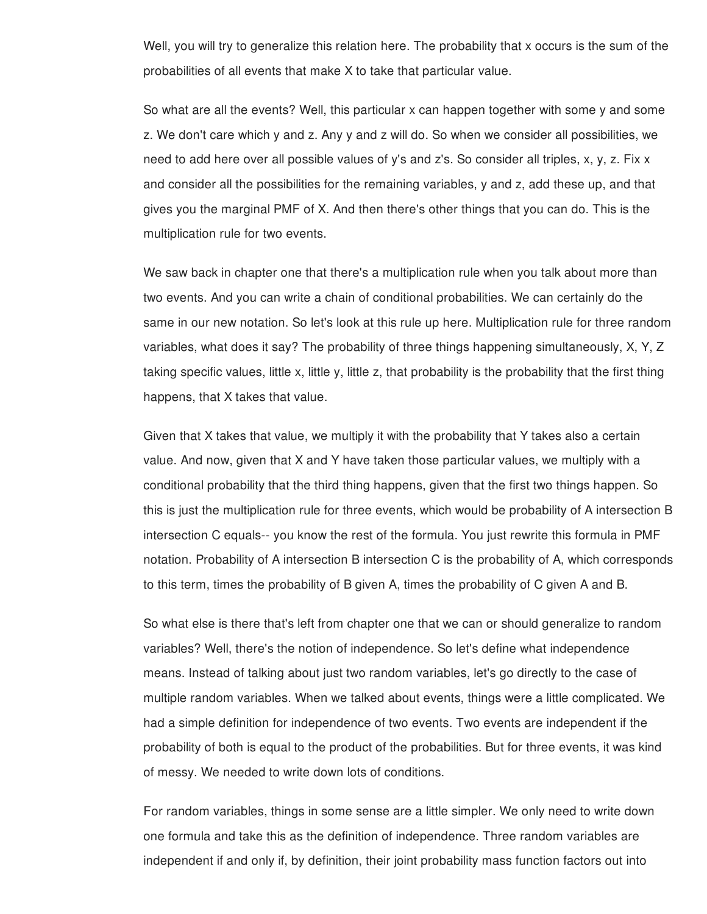Well, you will try to generalize this relation here. The probability that x occurs is the sum of the probabilities of all events that make X to take that particular value.

So what are all the events? Well, this particular x can happen together with some y and some z. We don't care which y and z. Any y and z will do. So when we consider all possibilities, we need to add here over all possible values of y's and z's. So consider all triples, x, y, z. Fix x and consider all the possibilities for the remaining variables, y and z, add these up, and that gives you the marginal PMF of X. And then there's other things that you can do. This is the multiplication rule for two events.

We saw back in chapter one that there's a multiplication rule when you talk about more than two events. And you can write a chain of conditional probabilities. We can certainly do the same in our new notation. So let's look at this rule up here. Multiplication rule for three random variables, what does it say? The probability of three things happening simultaneously, X, Y, Z taking specific values, little x, little y, little z, that probability is the probability that the first thing happens, that X takes that value.

Given that X takes that value, we multiply it with the probability that Y takes also a certain value. And now, given that X and Y have taken those particular values, we multiply with a conditional probability that the third thing happens, given that the first two things happen. So this is just the multiplication rule for three events, which would be probability of A intersection B intersection C equals-- you know the rest of the formula. You just rewrite this formula in PMF notation. Probability of A intersection B intersection C is the probability of A, which corresponds to this term, times the probability of B given A, times the probability of C given A and B.

So what else is there that's left from chapter one that we can or should generalize to random variables? Well, there's the notion of independence. So let's define what independence means. Instead of talking about just two random variables, let's go directly to the case of multiple random variables. When we talked about events, things were a little complicated. We had a simple definition for independence of two events. Two events are independent if the probability of both is equal to the product of the probabilities. But for three events, it was kind of messy. We needed to write down lots of conditions.

For random variables, things in some sense are a little simpler. We only need to write down one formula and take this as the definition of independence. Three random variables are independent if and only if, by definition, their joint probability mass function factors out into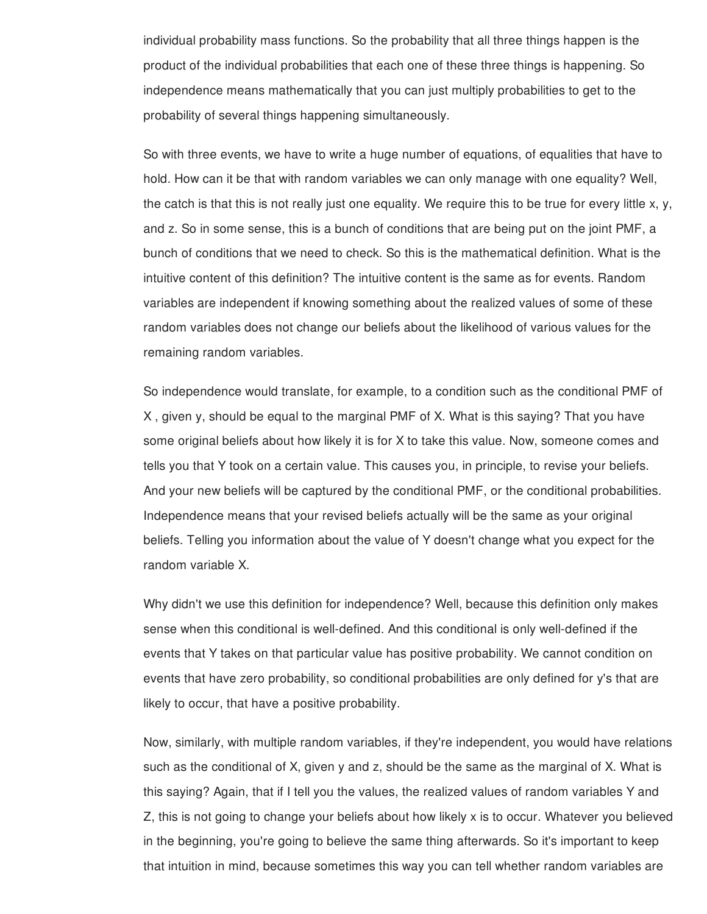individual probability mass functions. So the probability that all three things happen is the product of the individual probabilities that each one of these three things is happening. So independence means mathematically that you can just multiply probabilities to get to the probability of several things happening simultaneously.

So with three events, we have to write a huge number of equations, of equalities that have to hold. How can it be that with random variables we can only manage with one equality? Well, the catch is that this is not really just one equality. We require this to be true for every little x,  $y$ , and z. So in some sense, this is a bunch of conditions that are being put on the joint PMF, a bunch of conditions that we need to check. So this is the mathematical definition. What is the intuitive content of this definition? The intuitive content is the same as for events. Random variables are independent if knowing something about the realized values of some of these random variables does not change our beliefs about the likelihood of various values for the remaining random variables.

So independence would translate, for example, to a condition such as the conditional PMF of X , given y, should be equal to the marginal PMF of X. What is this saying? That you have some original beliefs about how likely it is for X to take this value. Now, someone comes and tells you that Y took on a certain value. This causes you, in principle, to revise your beliefs. And your new beliefs will be captured by the conditional PMF, or the conditional probabilities. Independence means that your revised beliefs actually will be the same as your original beliefs. Telling you information about the value of Y doesn't change what you expect for the random variable X.

Why didn't we use this definition for independence? Well, because this definition only makes sense when this conditional is well-defined. And this conditional is only well-defined if the events that Y takes on that particular value has positive probability. We cannot condition on events that have zero probability, so conditional probabilities are only defined for y's that are likely to occur, that have a positive probability.

Now, similarly, with multiple random variables, if they're independent, you would have relations such as the conditional of X, given y and z, should be the same as the marginal of X. What is this saying? Again, that if I tell you the values, the realized values of random variables Y and Z, this is not going to change your beliefs about how likely x is to occur. Whatever you believed in the beginning, you're going to believe the same thing afterwards. So it's important to keep that intuition in mind, because sometimes this way you can tell whether random variables are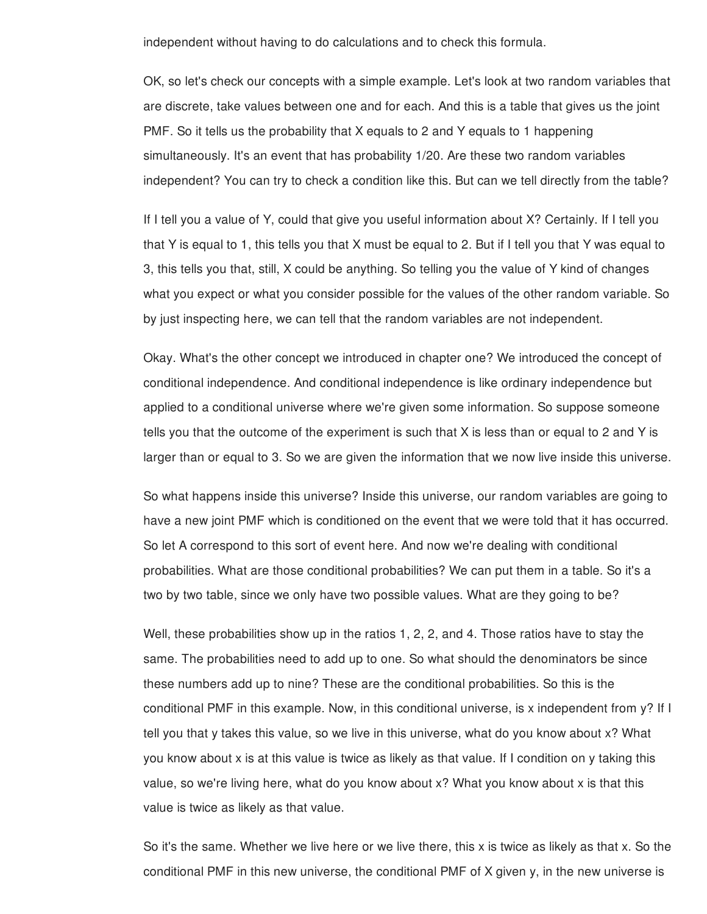independent without having to do calculations and to check this formula.

OK, so let's check our concepts with a simple example. Let's look at two random variables that are discrete, take values between one and for each. And this is a table that gives us the joint PMF. So it tells us the probability that X equals to 2 and Y equals to 1 happening simultaneously. It's an event that has probability 1/20. Are these two random variables independent? You can try to check a condition like this. But can we tell directly from the table?

If I tell you a value of Y, could that give you useful information about X? Certainly. If I tell you that Y is equal to 1, this tells you that X must be equal to 2. But if I tell you that Y was equal to 3, this tells you that, still, X could be anything. So telling you the value of Y kind of changes what you expect or what you consider possible for the values of the other random variable. So by just inspecting here, we can tell that the random variables are not independent.

Okay. What's the other concept we introduced in chapter one? We introduced the concept of conditional independence. And conditional independence is like ordinary independence but applied to a conditional universe where we're given some information. So suppose someone tells you that the outcome of the experiment is such that  $X$  is less than or equal to 2 and  $Y$  is larger than or equal to 3. So we are given the information that we now live inside this universe.

So what happens inside this universe? Inside this universe, our random variables are going to have a new joint PMF which is conditioned on the event that we were told that it has occurred. So let A correspond to this sort of event here. And now we're dealing with conditional probabilities. What are those conditional probabilities? We can put them in a table. So it's a two by two table, since we only have two possible values. What are they going to be?

Well, these probabilities show up in the ratios 1, 2, 2, and 4. Those ratios have to stay the same. The probabilities need to add up to one. So what should the denominators be since these numbers add up to nine? These are the conditional probabilities. So this is the conditional PMF in this example. Now, in this conditional universe, is x independent from y? If I tell you that y takes this value, so we live in this universe, what do you know about x? What you know about x is at this value is twice as likely as that value. If I condition on y taking this value, so we're living here, what do you know about x? What you know about x is that this value is twice as likely as that value.

So it's the same. Whether we live here or we live there, this x is twice as likely as that x. So the conditional PMF in this new universe, the conditional PMF of X given y, in the new universe is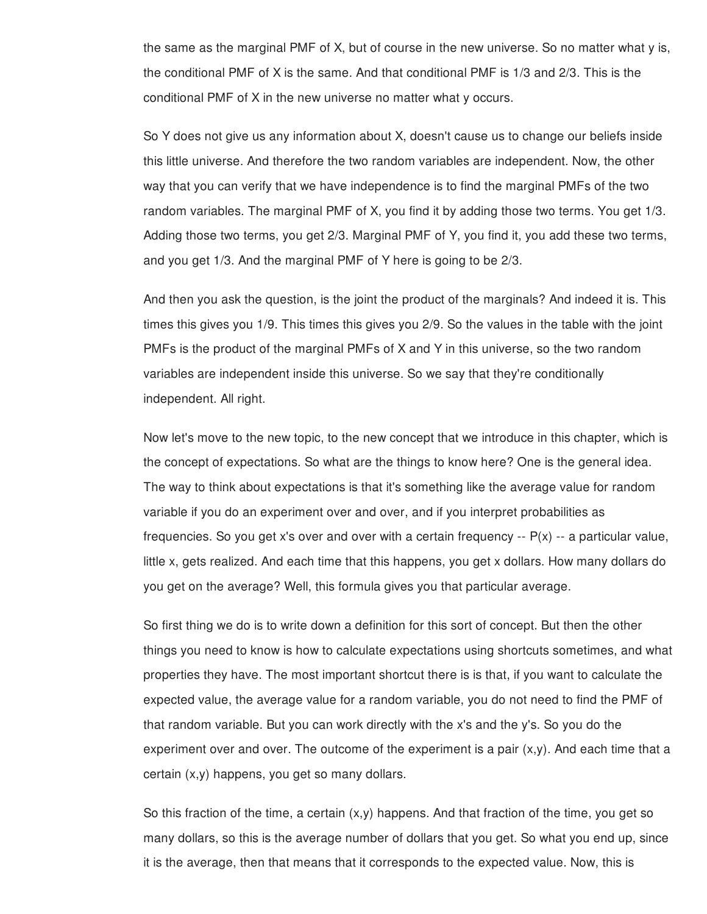the same as the marginal PMF of X, but of course in the new universe. So no matter what y is, the conditional PMF of X is the same. And that conditional PMF is 1/3 and 2/3. This is the conditional PMF of X in the new universe no matter what y occurs.

So Y does not give us any information about X, doesn't cause us to change our beliefs inside this little universe. And therefore the two random variables are independent. Now, the other way that you can verify that we have independence is to find the marginal PMFs of the two random variables. The marginal PMF of X, you find it by adding those two terms. You get 1/3. Adding those two terms, you get 2/3. Marginal PMF of Y, you find it, you add these two terms, and you get 1/3. And the marginal PMF of Y here is going to be 2/3.

And then you ask the question, is the joint the product of the marginals? And indeed it is. This times this gives you 1/9. This times this gives you 2/9. So the values in the table with the joint PMFs is the product of the marginal PMFs of X and Y in this universe, so the two random variables are independent inside this universe. So we say that they're conditionally independent. All right.

Now let's move to the new topic, to the new concept that we introduce in this chapter, which is the concept of expectations. So what are the things to know here? One is the general idea. The way to think about expectations is that it's something like the average value for random variable if you do an experiment over and over, and if you interpret probabilities as frequencies. So you get x's over and over with a certain frequency  $- P(x) - a$  particular value, little x, gets realized. And each time that this happens, you get x dollars. How many dollars do you get on the average? Well, this formula gives you that particular average.

So first thing we do is to write down a definition for this sort of concept. But then the other things you need to know is how to calculate expectations using shortcuts sometimes, and what properties they have. The most important shortcut there is is that, if you want to calculate the expected value, the average value for a random variable, you do not need to find the PMF of that random variable. But you can work directly with the x's and the y's. So you do the experiment over and over. The outcome of the experiment is a pair  $(x,y)$ . And each time that a certain (x,y) happens, you get so many dollars.

So this fraction of the time, a certain  $(x,y)$  happens. And that fraction of the time, you get so many dollars, so this is the average number of dollars that you get. So what you end up, since it is the average, then that means that it corresponds to the expected value. Now, this is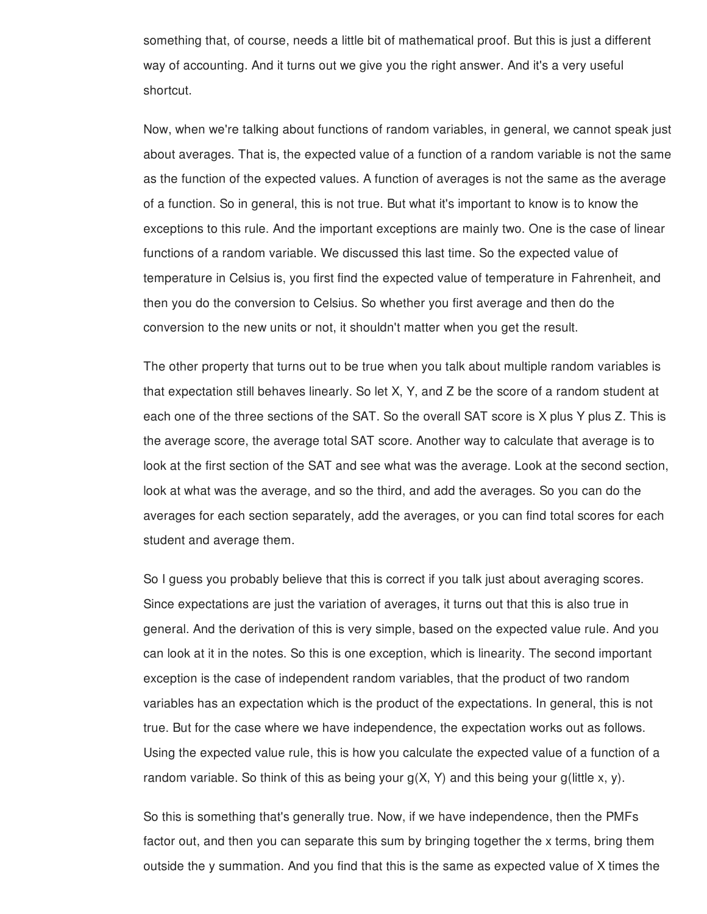something that, of course, needs a little bit of mathematical proof. But this is just a different way of accounting. And it turns out we give you the right answer. And it's a very useful shortcut.

Now, when we're talking about functions of random variables, in general, we cannot speak just about averages. That is, the expected value of a function of a random variable is not the same as the function of the expected values. A function of averages is not the same as the average of a function. So in general, this is not true. But what it's important to know is to know the exceptions to this rule. And the important exceptions are mainly two. One is the case of linear functions of a random variable. We discussed this last time. So the expected value of temperature in Celsius is, you first find the expected value of temperature in Fahrenheit, and then you do the conversion to Celsius. So whether you first average and then do the conversion to the new units or not, it shouldn't matter when you get the result.

The other property that turns out to be true when you talk about multiple random variables is that expectation still behaves linearly. So let X, Y, and Z be the score of a random student at each one of the three sections of the SAT. So the overall SAT score is X plus Y plus Z. This is the average score, the average total SAT score. Another way to calculate that average is to look at the first section of the SAT and see what was the average. Look at the second section, look at what was the average, and so the third, and add the averages. So you can do the averages for each section separately, add the averages, or you can find total scores for each student and average them.

So I guess you probably believe that this is correct if you talk just about averaging scores. Since expectations are just the variation of averages, it turns out that this is also true in general. And the derivation of this is very simple, based on the expected value rule. And you can look at it in the notes. So this is one exception, which is linearity. The second important exception is the case of independent random variables, that the product of two random variables has an expectation which is the product of the expectations. In general, this is not true. But for the case where we have independence, the expectation works out as follows. Using the expected value rule, this is how you calculate the expected value of a function of a random variable. So think of this as being your  $g(X, Y)$  and this being your g(little x, y).

So this is something that's generally true. Now, if we have independence, then the PMFs factor out, and then you can separate this sum by bringing together the x terms, bring them outside the y summation. And you find that this is the same as expected value of X times the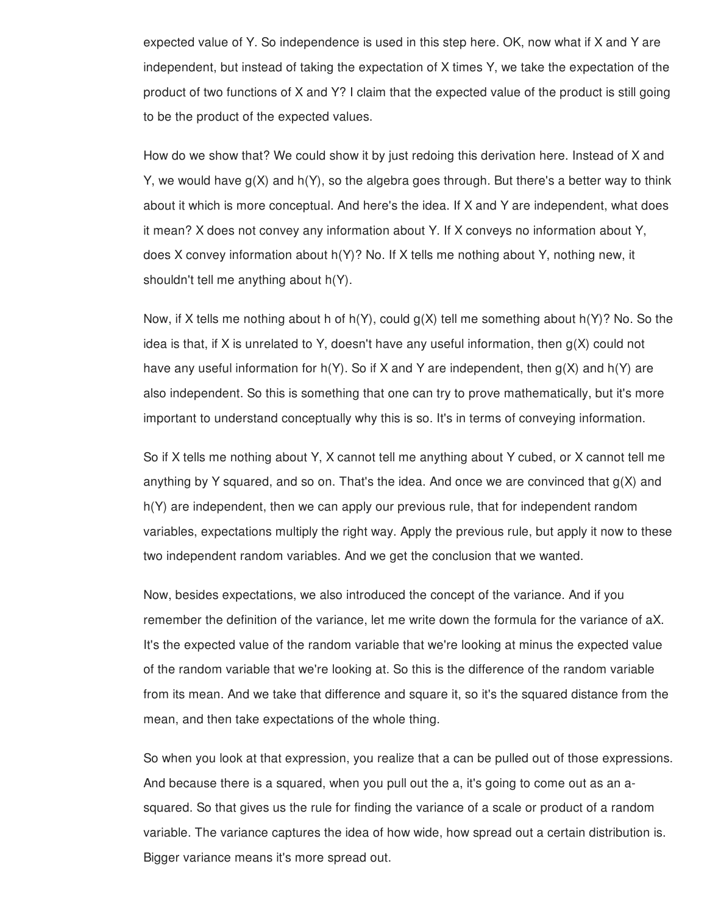expected value of Y. So independence is used in this step here. OK, now what if X and Y are independent, but instead of taking the expectation of X times Y, we take the expectation of the product of two functions of X and Y? I claim that the expected value of the product is still going to be the product of the expected values.

How do we show that? We could show it by just redoing this derivation here. Instead of X and Y, we would have  $g(X)$  and  $h(Y)$ , so the algebra goes through. But there's a better way to think about it which is more conceptual. And here's the idea. If X and Y are independent, what does it mean? X does not convey any information about Y. If X conveys no information about Y, does X convey information about h(Y)? No. If X tells me nothing about Y, nothing new, it shouldn't tell me anything about h(Y).

Now, if X tells me nothing about h of h(Y), could g(X) tell me something about h(Y)? No. So the idea is that, if X is unrelated to Y, doesn't have any useful information, then  $q(X)$  could not have any useful information for  $h(Y)$ . So if X and Y are independent, then  $g(X)$  and  $h(Y)$  are also independent. So this is something that one can try to prove mathematically, but it's more important to understand conceptually why this is so. It's in terms of conveying information.

So if X tells me nothing about Y, X cannot tell me anything about Y cubed, or X cannot tell me anything by Y squared, and so on. That's the idea. And once we are convinced that  $g(X)$  and h(Y) are independent, then we can apply our previous rule, that for independent random variables, expectations multiply the right way. Apply the previous rule, but apply it now to these two independent random variables. And we get the conclusion that we wanted.

Now, besides expectations, we also introduced the concept of the variance. And if you remember the definition of the variance, let me write down the formula for the variance of aX. It's the expected value of the random variable that we're looking at minus the expected value of the random variable that we're looking at. So this is the difference of the random variable from its mean. And we take that difference and square it, so it's the squared distance from the mean, and then take expectations of the whole thing.

So when you look at that expression, you realize that a can be pulled out of those expressions. And because there is a squared, when you pull out the a, it's going to come out as an asquared. So that gives us the rule for finding the variance of a scale or product of a random variable. The variance captures the idea of how wide, how spread out a certain distribution is. Bigger variance means it's more spread out.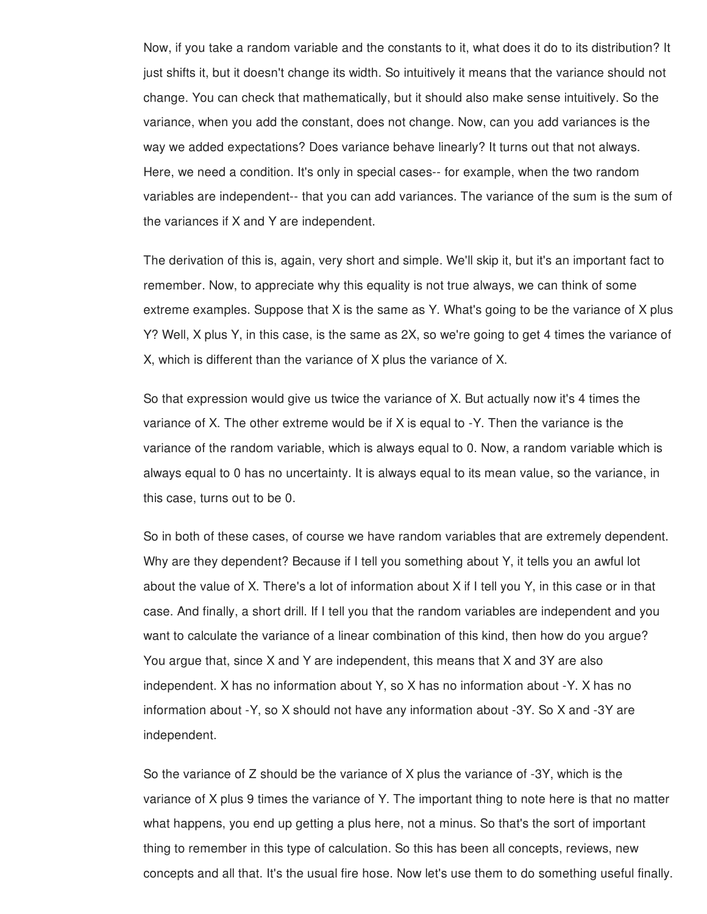Now, if you take a random variable and the constants to it, what does it do to its distribution? It just shifts it, but it doesn't change its width. So intuitively it means that the variance should not change. You can check that mathematically, but it should also make sense intuitively. So the variance, when you add the constant, does not change. Now, can you add variances is the way we added expectations? Does variance behave linearly? It turns out that not always. Here, we need a condition. It's only in special cases-- for example, when the two random variables are independent-- that you can add variances. The variance of the sum is the sum of the variances if X and Y are independent.

The derivation of this is, again, very short and simple. We'll skip it, but it's an important fact to remember. Now, to appreciate why this equality is not true always, we can think of some extreme examples. Suppose that X is the same as Y. What's going to be the variance of X plus Y? Well, X plus Y, in this case, is the same as 2X, so we're going to get 4 times the variance of X, which is different than the variance of X plus the variance of X.

So that expression would give us twice the variance of X. But actually now it's 4 times the variance of X. The other extreme would be if X is equal to -Y. Then the variance is the variance of the random variable, which is always equal to 0. Now, a random variable which is always equal to 0 has no uncertainty. It is always equal to its mean value, so the variance, in this case, turns out to be 0.

So in both of these cases, of course we have random variables that are extremely dependent. Why are they dependent? Because if I tell you something about Y, it tells you an awful lot about the value of X. There's a lot of information about X if I tell you Y, in this case or in that case. And finally, a short drill. If I tell you that the random variables are independent and you want to calculate the variance of a linear combination of this kind, then how do you argue? You argue that, since X and Y are independent, this means that X and 3Y are also independent. X has no information about Y, so X has no information about -Y. X has no information about -Y, so X should not have any information about -3Y. So X and -3Y are independent.

So the variance of Z should be the variance of X plus the variance of -3Y, which is the variance of X plus 9 times the variance of Y. The important thing to note here is that no matter what happens, you end up getting a plus here, not a minus. So that's the sort of important thing to remember in this type of calculation. So this has been all concepts, reviews, new concepts and all that. It's the usual fire hose. Now let's use them to do something useful finally.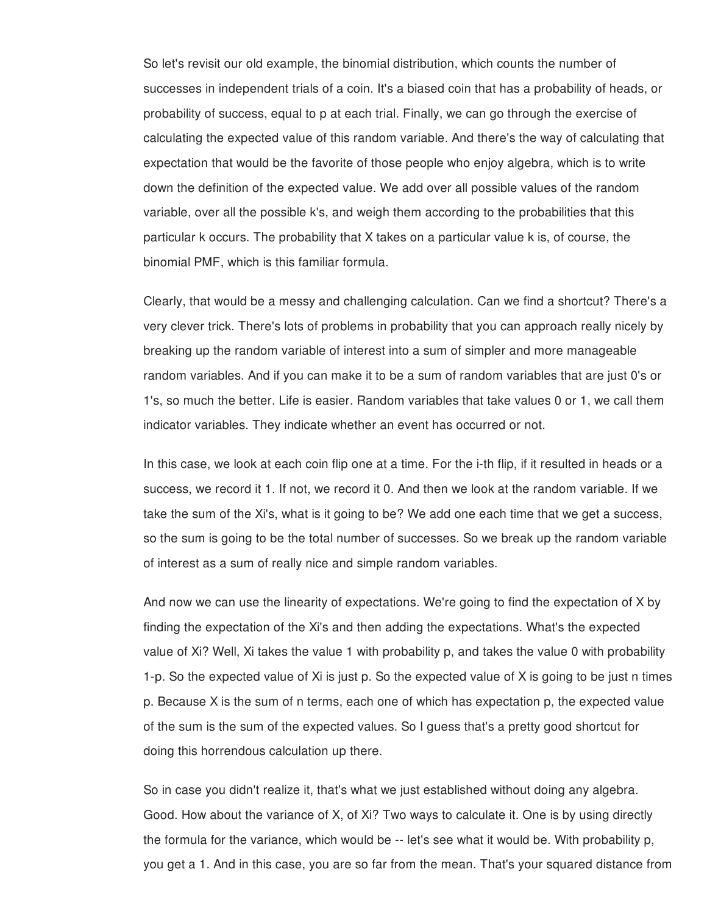So let's revisit our old example, the binomial distribution, which counts the number of successes in independent trials of a coin. It's a biased coin that has a probability of heads, or probability of success, equal to p at each trial. Finally, we can go through the exercise of calculating the expected value of this random variable. And there's the way of calculating that expectation that would be the favorite of those people who enjoy algebra, which is to write down the definition of the expected value. We add over all possible values of the random variable, over all the possible k's, and weigh them according to the probabilities that this particular k occurs. The probability that X takes on a particular value k is, of course, the binomial PMF, which is this familiar formula.

Clearly, that would be a messy and challenging calculation. Can we find a shortcut? There's a very clever trick. There's lots of problems in probability that you can approach really nicely by breaking up the random variable of interest into a sum of simpler and more manageable random variables. And if you can make it to be a sum of random variables that are just 0's or 1's, so much the better. Life is easier. Random variables that take values 0 or 1, we call them indicator variables. They indicate whether an event has occurred or not.

In this case, we look at each coin flip one at a time. For the i-th flip, if it resulted in heads or a success, we record it 1. If not, we record it 0. And then we look at the random variable. If we take the sum of the Xi's, what is it going to be? We add one each time that we get a success, so the sum is going to be the total number of successes. So we break up the random variable of interest as a sum of really nice and simple random variables.

And now we can use the linearity of expectations. We're going to find the expectation of X by finding the expectation of the Xi's and then adding the expectations. What's the expected value of Xi? Well, Xi takes the value 1 with probability p, and takes the value 0 with probability 1-p. So the expected value of Xi is just p. So the expected value of X is going to be just n times p. Because X is the sum of n terms, each one of which has expectation p, the expected value of the sum is the sum of the expected values. So I guess that's a pretty good shortcut for doing this horrendous calculation up there.

So in case you didn't realize it, that's what we just established without doing any algebra. Good. How about the variance of X, of Xi? Two ways to calculate it. One is by using directly the formula for the variance, which would be -- let's see what it would be. With probability p, you get a 1. And in this case, you are so far from the mean. That's your squared distance from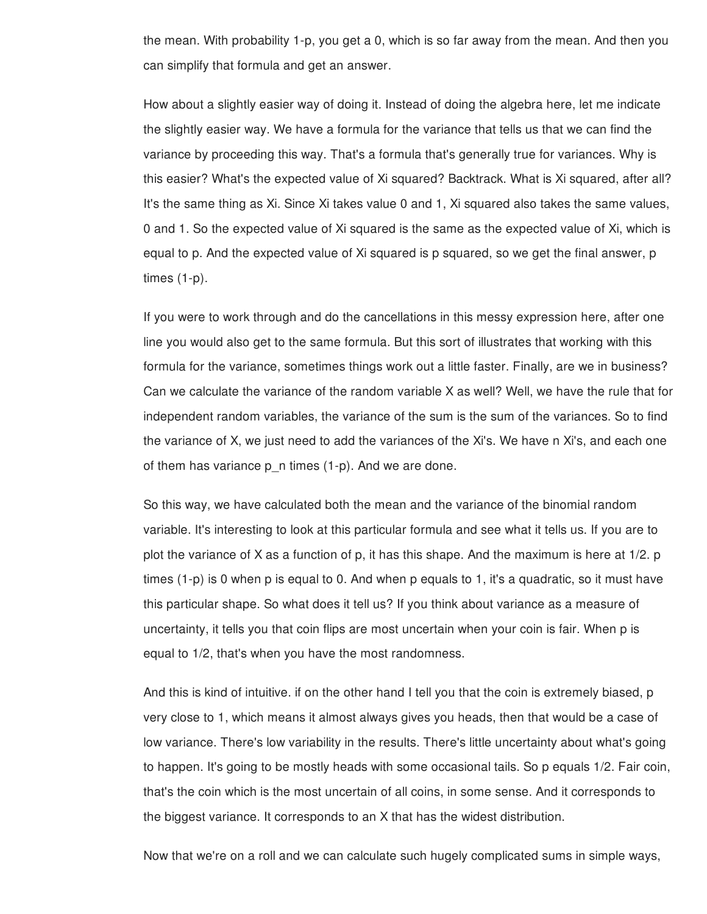the mean. With probability 1-p, you get a 0, which is so far away from the mean. And then you can simplify that formula and get an answer.

How about a slightly easier way of doing it. Instead of doing the algebra here, let me indicate the slightly easier way. We have a formula for the variance that tells us that we can find the variance by proceeding this way. That's a formula that's generally true for variances. Why is this easier? What's the expected value of Xi squared? Backtrack. What is Xi squared, after all? It's the same thing as Xi. Since Xi takes value 0 and 1, Xi squared also takes the same values, 0 and 1. So the expected value of Xi squared is the same as the expected value of Xi, which is equal to p. And the expected value of Xi squared is p squared, so we get the final answer, p times (1-p).

If you were to work through and do the cancellations in this messy expression here, after one line you would also get to the same formula. But this sort of illustrates that working with this formula for the variance, sometimes things work out a little faster. Finally, are we in business? Can we calculate the variance of the random variable X as well? Well, we have the rule that for independent random variables, the variance of the sum is the sum of the variances. So to find the variance of X, we just need to add the variances of the Xi's. We have n Xi's, and each one of them has variance p\_n times (1-p). And we are done.

So this way, we have calculated both the mean and the variance of the binomial random variable. It's interesting to look at this particular formula and see what it tells us. If you are to plot the variance of X as a function of p, it has this shape. And the maximum is here at 1/2. p times (1-p) is 0 when p is equal to 0. And when p equals to 1, it's a quadratic, so it must have this particular shape. So what does it tell us? If you think about variance as a measure of uncertainty, it tells you that coin flips are most uncertain when your coin is fair. When p is equal to 1/2, that's when you have the most randomness.

And this is kind of intuitive. if on the other hand I tell you that the coin is extremely biased, p very close to 1, which means it almost always gives you heads, then that would be a case of low variance. There's low variability in the results. There's little uncertainty about what's going to happen. It's going to be mostly heads with some occasional tails. So p equals 1/2. Fair coin, that's the coin which is the most uncertain of all coins, in some sense. And it corresponds to the biggest variance. It corresponds to an X that has the widest distribution.

Now that we're on a roll and we can calculate such hugely complicated sums in simple ways,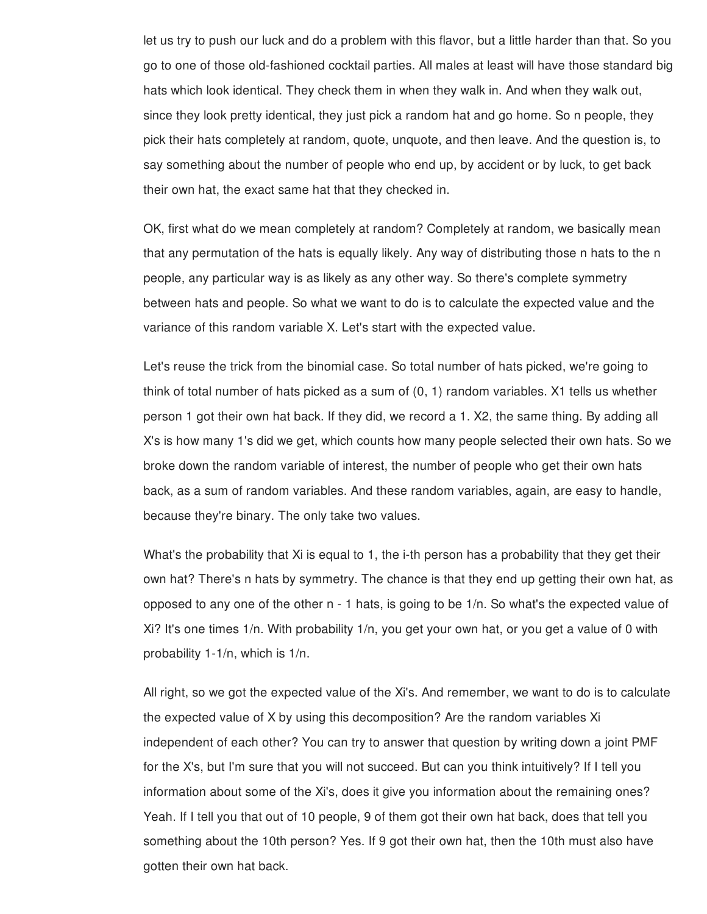let us try to push our luck and do a problem with this flavor, but a little harder than that. So you go to one of those old-fashioned cocktail parties. All males at least will have those standard big hats which look identical. They check them in when they walk in. And when they walk out, since they look pretty identical, they just pick a random hat and go home. So n people, they pick their hats completely at random, quote, unquote, and then leave. And the question is, to say something about the number of people who end up, by accident or by luck, to get back their own hat, the exact same hat that they checked in.

OK, first what do we mean completely at random? Completely at random, we basically mean that any permutation of the hats is equally likely. Any way of distributing those n hats to the n people, any particular way is as likely as any other way. So there's complete symmetry between hats and people. So what we want to do is to calculate the expected value and the variance of this random variable X. Let's start with the expected value.

Let's reuse the trick from the binomial case. So total number of hats picked, we're going to think of total number of hats picked as a sum of (0, 1) random variables. X1 tells us whether person 1 got their own hat back. If they did, we record a 1. X2, the same thing. By adding all X's is how many 1's did we get, which counts how many people selected their own hats. So we broke down the random variable of interest, the number of people who get their own hats back, as a sum of random variables. And these random variables, again, are easy to handle, because they're binary. The only take two values.

What's the probability that Xi is equal to 1, the i-th person has a probability that they get their own hat? There's n hats by symmetry. The chance is that they end up getting their own hat, as opposed to any one of the other n - 1 hats, is going to be 1/n. So what's the expected value of Xi? It's one times 1/n. With probability 1/n, you get your own hat, or you get a value of 0 with probability 1-1/n, which is 1/n.

All right, so we got the expected value of the Xi's. And remember, we want to do is to calculate the expected value of X by using this decomposition? Are the random variables Xi independent of each other? You can try to answer that question by writing down a joint PMF for the X's, but I'm sure that you will not succeed. But can you think intuitively? If I tell you information about some of the Xi's, does it give you information about the remaining ones? Yeah. If I tell you that out of 10 people, 9 of them got their own hat back, does that tell you something about the 10th person? Yes. If 9 got their own hat, then the 10th must also have gotten their own hat back.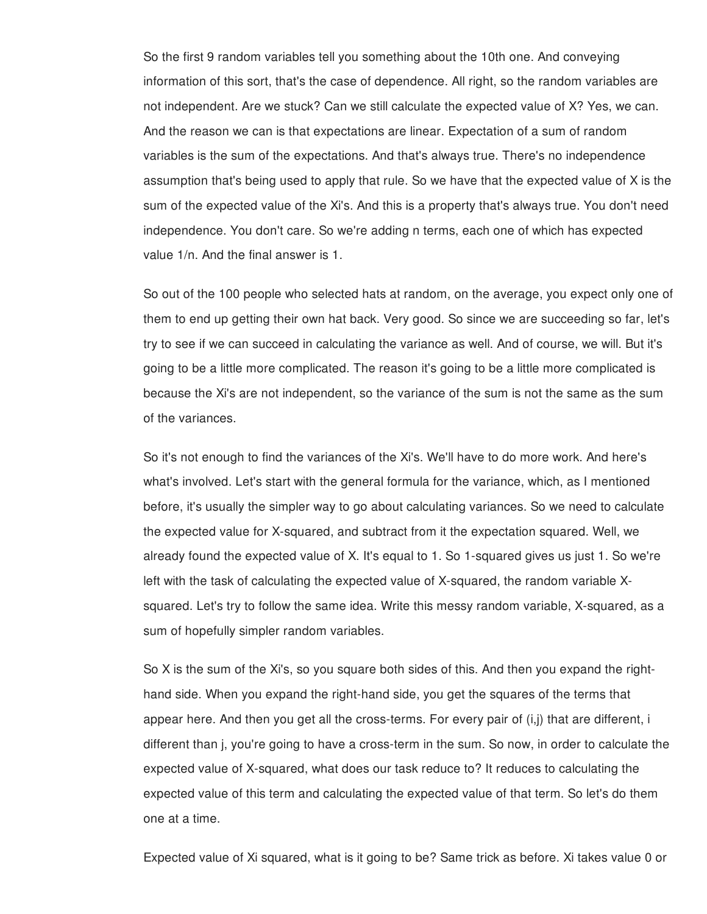So the first 9 random variables tell you something about the 10th one. And conveying information of this sort, that's the case of dependence. All right, so the random variables are not independent. Are we stuck? Can we still calculate the expected value of X? Yes, we can. And the reason we can is that expectations are linear. Expectation of a sum of random variables is the sum of the expectations. And that's always true. There's no independence assumption that's being used to apply that rule. So we have that the expected value of X is the sum of the expected value of the Xi's. And this is a property that's always true. You don't need independence. You don't care. So we're adding n terms, each one of which has expected value 1/n. And the final answer is 1.

So out of the 100 people who selected hats at random, on the average, you expect only one of them to end up getting their own hat back. Very good. So since we are succeeding so far, let's try to see if we can succeed in calculating the variance as well. And of course, we will. But it's going to be a little more complicated. The reason it's going to be a little more complicated is because the Xi's are not independent, so the variance of the sum is not the same as the sum of the variances.

So it's not enough to find the variances of the Xi's. We'll have to do more work. And here's what's involved. Let's start with the general formula for the variance, which, as I mentioned before, it's usually the simpler way to go about calculating variances. So we need to calculate the expected value for X-squared, and subtract from it the expectation squared. Well, we already found the expected value of X. It's equal to 1. So 1-squared gives us just 1. So we're left with the task of calculating the expected value of X-squared, the random variable Xsquared. Let's try to follow the same idea. Write this messy random variable, X-squared, as a sum of hopefully simpler random variables.

So X is the sum of the Xi's, so you square both sides of this. And then you expand the righthand side. When you expand the right-hand side, you get the squares of the terms that appear here. And then you get all the cross-terms. For every pair of (i,j) that are different, i different than j, you're going to have a cross-term in the sum. So now, in order to calculate the expected value of X-squared, what does our task reduce to? It reduces to calculating the expected value of this term and calculating the expected value of that term. So let's do them one at a time.

Expected value of Xi squared, what is it going to be? Same trick as before. Xi takes value 0 or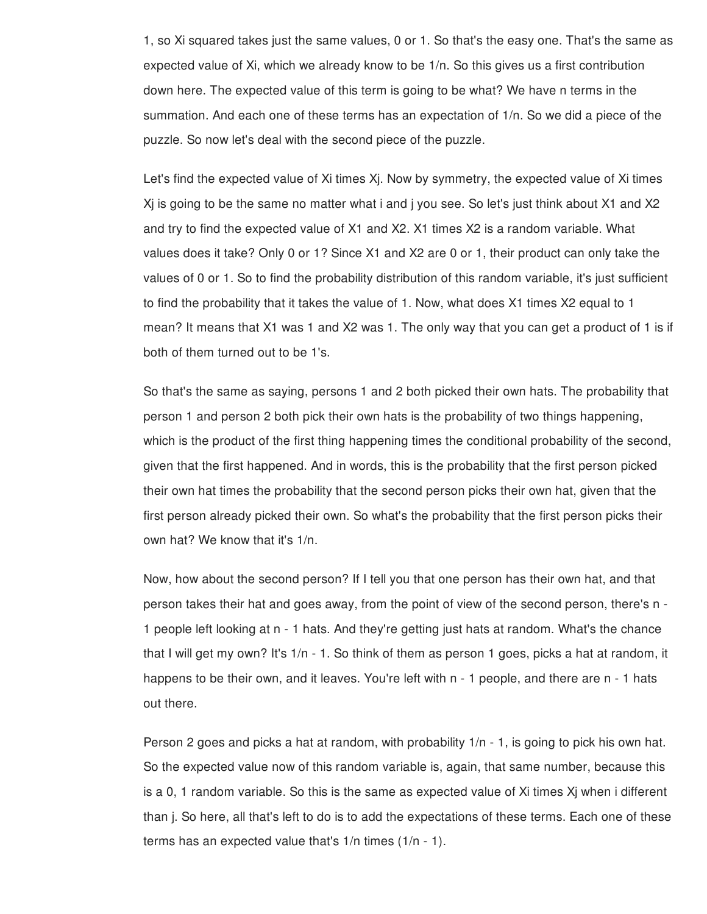1, so Xi squared takes just the same values, 0 or 1. So that's the easy one. That's the same as expected value of Xi, which we already know to be 1/n. So this gives us a first contribution down here. The expected value of this term is going to be what? We have n terms in the summation. And each one of these terms has an expectation of 1/n. So we did a piece of the puzzle. So now let's deal with the second piece of the puzzle.

Let's find the expected value of Xi times Xj. Now by symmetry, the expected value of Xi times Xj is going to be the same no matter what i and j you see. So let's just think about X1 and X2 and try to find the expected value of X1 and X2. X1 times X2 is a random variable. What values does it take? Only 0 or 1? Since X1 and X2 are 0 or 1, their product can only take the values of 0 or 1. So to find the probability distribution of this random variable, it's just sufficient to find the probability that it takes the value of 1. Now, what does X1 times X2 equal to 1 mean? It means that X1 was 1 and X2 was 1. The only way that you can get a product of 1 is if both of them turned out to be 1's.

So that's the same as saying, persons 1 and 2 both picked their own hats. The probability that person 1 and person 2 both pick their own hats is the probability of two things happening, which is the product of the first thing happening times the conditional probability of the second, given that the first happened. And in words, this is the probability that the first person picked their own hat times the probability that the second person picks their own hat, given that the first person already picked their own. So what's the probability that the first person picks their own hat? We know that it's 1/n.

Now, how about the second person? If I tell you that one person has their own hat, and that person takes their hat and goes away, from the point of view of the second person, there's n - 1 people left looking at n - 1 hats. And they're getting just hats at random. What's the chance that I will get my own? It's 1/n - 1. So think of them as person 1 goes, picks a hat at random, it happens to be their own, and it leaves. You're left with n - 1 people, and there are n - 1 hats out there.

Person 2 goes and picks a hat at random, with probability  $1/n - 1$ , is going to pick his own hat. So the expected value now of this random variable is, again, that same number, because this is a 0, 1 random variable. So this is the same as expected value of Xi times Xj when i different than j. So here, all that's left to do is to add the expectations of these terms. Each one of these terms has an expected value that's 1/n times (1/n - 1).